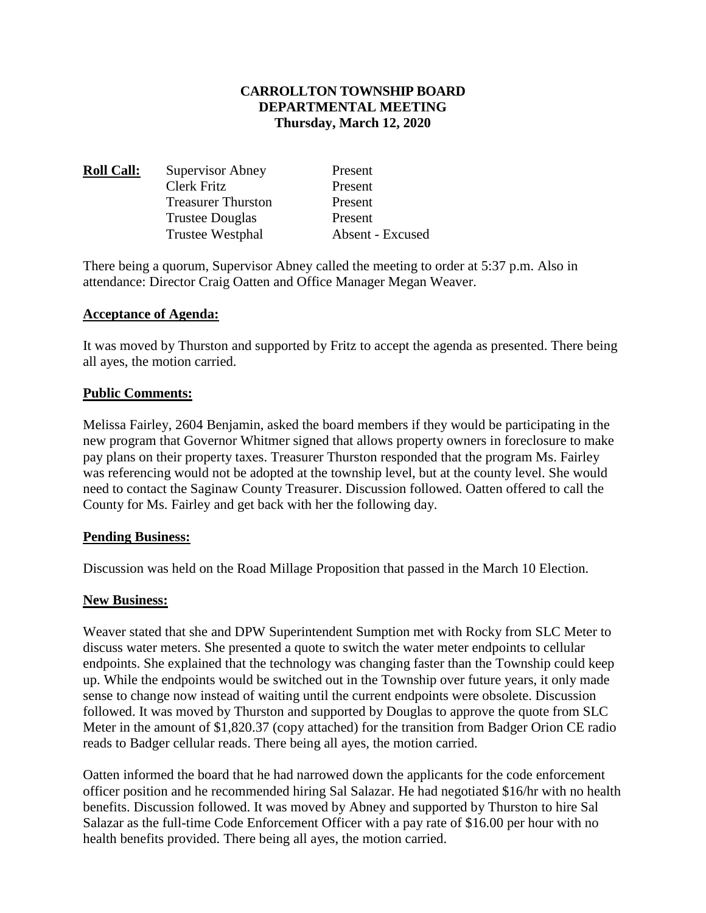# **CARROLLTON TOWNSHIP BOARD DEPARTMENTAL MEETING Thursday, March 12, 2020**

| <b>Roll Call:</b> | <b>Supervisor Abney</b>   | Present          |
|-------------------|---------------------------|------------------|
|                   | Clerk Fritz               | Present          |
|                   | <b>Treasurer Thurston</b> | Present          |
|                   | <b>Trustee Douglas</b>    | Present          |
|                   | Trustee Westphal          | Absent - Excused |

There being a quorum, Supervisor Abney called the meeting to order at 5:37 p.m. Also in attendance: Director Craig Oatten and Office Manager Megan Weaver.

#### **Acceptance of Agenda:**

It was moved by Thurston and supported by Fritz to accept the agenda as presented. There being all ayes, the motion carried.

#### **Public Comments:**

Melissa Fairley, 2604 Benjamin, asked the board members if they would be participating in the new program that Governor Whitmer signed that allows property owners in foreclosure to make pay plans on their property taxes. Treasurer Thurston responded that the program Ms. Fairley was referencing would not be adopted at the township level, but at the county level. She would need to contact the Saginaw County Treasurer. Discussion followed. Oatten offered to call the County for Ms. Fairley and get back with her the following day.

#### **Pending Business:**

Discussion was held on the Road Millage Proposition that passed in the March 10 Election.

#### **New Business:**

Weaver stated that she and DPW Superintendent Sumption met with Rocky from SLC Meter to discuss water meters. She presented a quote to switch the water meter endpoints to cellular endpoints. She explained that the technology was changing faster than the Township could keep up. While the endpoints would be switched out in the Township over future years, it only made sense to change now instead of waiting until the current endpoints were obsolete. Discussion followed. It was moved by Thurston and supported by Douglas to approve the quote from SLC Meter in the amount of \$1,820.37 (copy attached) for the transition from Badger Orion CE radio reads to Badger cellular reads. There being all ayes, the motion carried.

Oatten informed the board that he had narrowed down the applicants for the code enforcement officer position and he recommended hiring Sal Salazar. He had negotiated \$16/hr with no health benefits. Discussion followed. It was moved by Abney and supported by Thurston to hire Sal Salazar as the full-time Code Enforcement Officer with a pay rate of \$16.00 per hour with no health benefits provided. There being all ayes, the motion carried.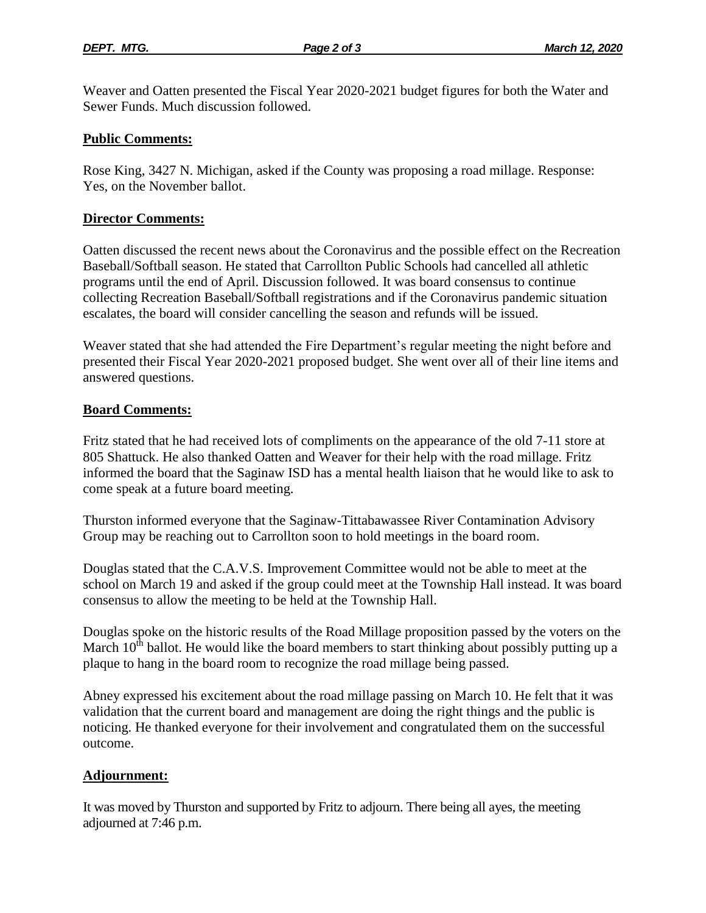Weaver and Oatten presented the Fiscal Year 2020-2021 budget figures for both the Water and Sewer Funds. Much discussion followed.

### **Public Comments:**

Rose King, 3427 N. Michigan, asked if the County was proposing a road millage. Response: Yes, on the November ballot.

#### **Director Comments:**

Oatten discussed the recent news about the Coronavirus and the possible effect on the Recreation Baseball/Softball season. He stated that Carrollton Public Schools had cancelled all athletic programs until the end of April. Discussion followed. It was board consensus to continue collecting Recreation Baseball/Softball registrations and if the Coronavirus pandemic situation escalates, the board will consider cancelling the season and refunds will be issued.

Weaver stated that she had attended the Fire Department's regular meeting the night before and presented their Fiscal Year 2020-2021 proposed budget. She went over all of their line items and answered questions.

#### **Board Comments:**

Fritz stated that he had received lots of compliments on the appearance of the old 7-11 store at 805 Shattuck. He also thanked Oatten and Weaver for their help with the road millage. Fritz informed the board that the Saginaw ISD has a mental health liaison that he would like to ask to come speak at a future board meeting.

Thurston informed everyone that the Saginaw-Tittabawassee River Contamination Advisory Group may be reaching out to Carrollton soon to hold meetings in the board room.

Douglas stated that the C.A.V.S. Improvement Committee would not be able to meet at the school on March 19 and asked if the group could meet at the Township Hall instead. It was board consensus to allow the meeting to be held at the Township Hall.

Douglas spoke on the historic results of the Road Millage proposition passed by the voters on the March  $10<sup>th</sup>$  ballot. He would like the board members to start thinking about possibly putting up a plaque to hang in the board room to recognize the road millage being passed.

Abney expressed his excitement about the road millage passing on March 10. He felt that it was validation that the current board and management are doing the right things and the public is noticing. He thanked everyone for their involvement and congratulated them on the successful outcome.

# **Adjournment:**

It was moved by Thurston and supported by Fritz to adjourn. There being all ayes, the meeting adjourned at 7:46 p.m.